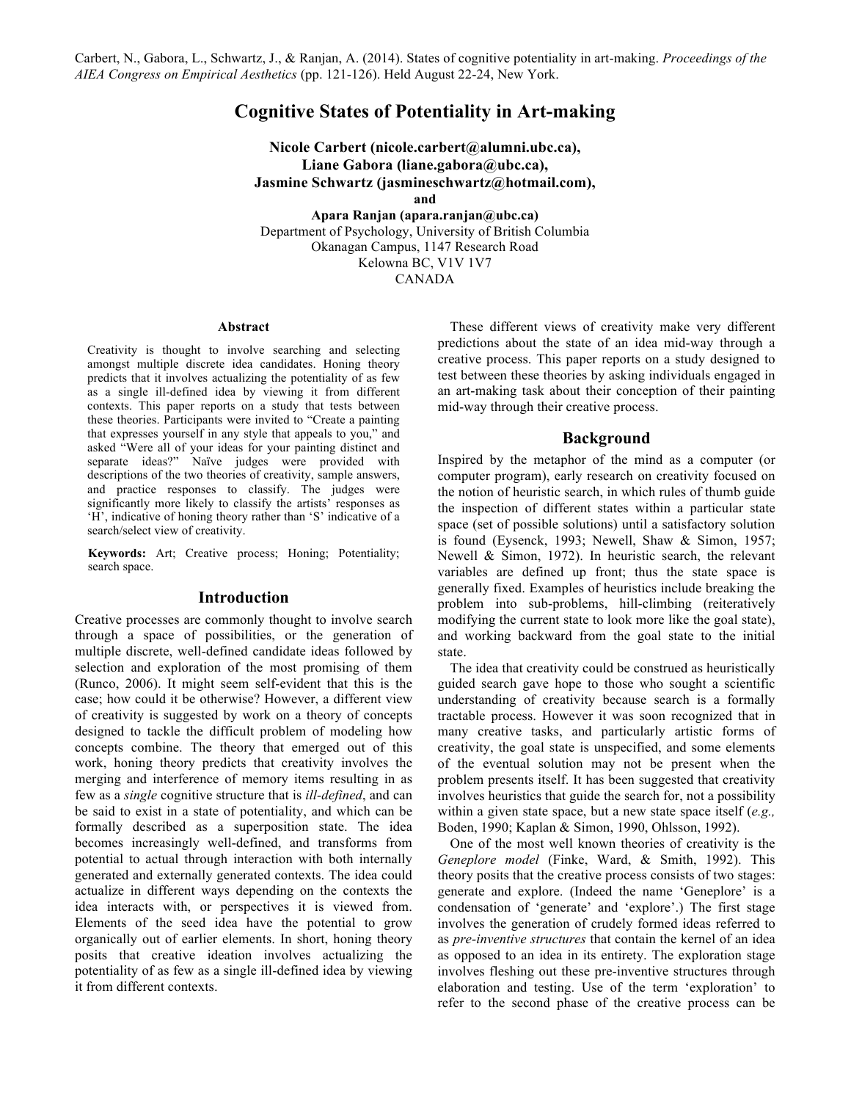# **Cognitive States of Potentiality in Art-making**

**Nicole Carbert (nicole.carbert@alumni.ubc.ca), Liane Gabora (liane.gabora@ubc.ca), Jasmine Schwartz (jasmineschwartz@hotmail.com), and**

**Apara Ranjan (apara.ranjan@ubc.ca)** Department of Psychology, University of British Columbia Okanagan Campus, 1147 Research Road Kelowna BC, V1V 1V7 CANADA

#### **Abstract**

Creativity is thought to involve searching and selecting amongst multiple discrete idea candidates. Honing theory predicts that it involves actualizing the potentiality of as few as a single ill-defined idea by viewing it from different contexts. This paper reports on a study that tests between these theories. Participants were invited to "Create a painting that expresses yourself in any style that appeals to you," and asked "Were all of your ideas for your painting distinct and separate ideas?" Naïve judges were provided with descriptions of the two theories of creativity, sample answers, and practice responses to classify. The judges were significantly more likely to classify the artists' responses as 'H', indicative of honing theory rather than 'S' indicative of a search/select view of creativity.

**Keywords:** Art; Creative process; Honing; Potentiality; search space.

### **Introduction**

Creative processes are commonly thought to involve search through a space of possibilities, or the generation of multiple discrete, well-defined candidate ideas followed by selection and exploration of the most promising of them (Runco, 2006). It might seem self-evident that this is the case; how could it be otherwise? However, a different view of creativity is suggested by work on a theory of concepts designed to tackle the difficult problem of modeling how concepts combine. The theory that emerged out of this work, honing theory predicts that creativity involves the merging and interference of memory items resulting in as few as a *single* cognitive structure that is *ill-defined*, and can be said to exist in a state of potentiality, and which can be formally described as a superposition state. The idea becomes increasingly well-defined, and transforms from potential to actual through interaction with both internally generated and externally generated contexts. The idea could actualize in different ways depending on the contexts the idea interacts with, or perspectives it is viewed from. Elements of the seed idea have the potential to grow organically out of earlier elements. In short, honing theory posits that creative ideation involves actualizing the potentiality of as few as a single ill-defined idea by viewing it from different contexts.

These different views of creativity make very different predictions about the state of an idea mid-way through a creative process. This paper reports on a study designed to test between these theories by asking individuals engaged in an art-making task about their conception of their painting mid-way through their creative process.

### **Background**

Inspired by the metaphor of the mind as a computer (or computer program), early research on creativity focused on the notion of heuristic search, in which rules of thumb guide the inspection of different states within a particular state space (set of possible solutions) until a satisfactory solution is found (Eysenck, 1993; Newell, Shaw & Simon, 1957; Newell & Simon, 1972). In heuristic search, the relevant variables are defined up front; thus the state space is generally fixed. Examples of heuristics include breaking the problem into sub-problems, hill-climbing (reiteratively modifying the current state to look more like the goal state), and working backward from the goal state to the initial state.

The idea that creativity could be construed as heuristically guided search gave hope to those who sought a scientific understanding of creativity because search is a formally tractable process. However it was soon recognized that in many creative tasks, and particularly artistic forms of creativity, the goal state is unspecified, and some elements of the eventual solution may not be present when the problem presents itself. It has been suggested that creativity involves heuristics that guide the search for, not a possibility within a given state space, but a new state space itself (*e.g.,*  Boden, 1990; Kaplan & Simon, 1990, Ohlsson, 1992).

One of the most well known theories of creativity is the *Geneplore model* (Finke, Ward, & Smith, 1992). This theory posits that the creative process consists of two stages: generate and explore. (Indeed the name 'Geneplore' is a condensation of 'generate' and 'explore'.) The first stage involves the generation of crudely formed ideas referred to as *pre-inventive structures* that contain the kernel of an idea as opposed to an idea in its entirety. The exploration stage involves fleshing out these pre-inventive structures through elaboration and testing. Use of the term 'exploration' to refer to the second phase of the creative process can be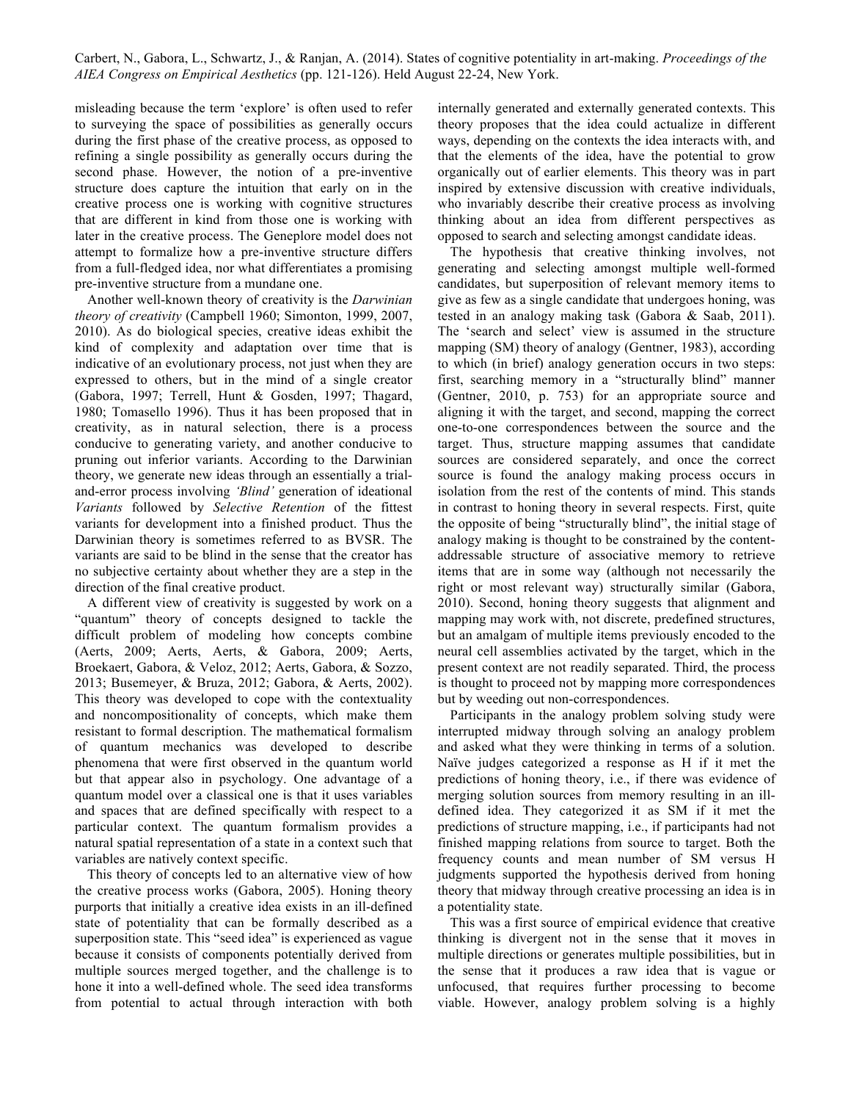misleading because the term 'explore' is often used to refer to surveying the space of possibilities as generally occurs during the first phase of the creative process, as opposed to refining a single possibility as generally occurs during the second phase. However, the notion of a pre-inventive structure does capture the intuition that early on in the creative process one is working with cognitive structures that are different in kind from those one is working with later in the creative process. The Geneplore model does not attempt to formalize how a pre-inventive structure differs from a full-fledged idea, nor what differentiates a promising pre-inventive structure from a mundane one.

Another well-known theory of creativity is the *Darwinian theory of creativity* (Campbell 1960; Simonton, 1999, 2007, 2010). As do biological species, creative ideas exhibit the kind of complexity and adaptation over time that is indicative of an evolutionary process, not just when they are expressed to others, but in the mind of a single creator (Gabora, 1997; Terrell, Hunt & Gosden, 1997; Thagard, 1980; Tomasello 1996). Thus it has been proposed that in creativity, as in natural selection, there is a process conducive to generating variety, and another conducive to pruning out inferior variants. According to the Darwinian theory, we generate new ideas through an essentially a trialand-error process involving *'Blind'* generation of ideational *Variants* followed by *Selective Retention* of the fittest variants for development into a finished product. Thus the Darwinian theory is sometimes referred to as BVSR. The variants are said to be blind in the sense that the creator has no subjective certainty about whether they are a step in the direction of the final creative product.

A different view of creativity is suggested by work on a "quantum" theory of concepts designed to tackle the difficult problem of modeling how concepts combine (Aerts, 2009; Aerts, Aerts, & Gabora, 2009; Aerts, Broekaert, Gabora, & Veloz, 2012; Aerts, Gabora, & Sozzo, 2013; Busemeyer, & Bruza, 2012; Gabora, & Aerts, 2002). This theory was developed to cope with the contextuality and noncompositionality of concepts, which make them resistant to formal description. The mathematical formalism of quantum mechanics was developed to describe phenomena that were first observed in the quantum world but that appear also in psychology. One advantage of a quantum model over a classical one is that it uses variables and spaces that are defined specifically with respect to a particular context. The quantum formalism provides a natural spatial representation of a state in a context such that variables are natively context specific.

This theory of concepts led to an alternative view of how the creative process works (Gabora, 2005). Honing theory purports that initially a creative idea exists in an ill-defined state of potentiality that can be formally described as a superposition state. This "seed idea" is experienced as vague because it consists of components potentially derived from multiple sources merged together, and the challenge is to hone it into a well-defined whole. The seed idea transforms from potential to actual through interaction with both internally generated and externally generated contexts. This theory proposes that the idea could actualize in different ways, depending on the contexts the idea interacts with, and that the elements of the idea, have the potential to grow organically out of earlier elements. This theory was in part inspired by extensive discussion with creative individuals, who invariably describe their creative process as involving thinking about an idea from different perspectives as opposed to search and selecting amongst candidate ideas.

The hypothesis that creative thinking involves, not generating and selecting amongst multiple well-formed candidates, but superposition of relevant memory items to give as few as a single candidate that undergoes honing, was tested in an analogy making task (Gabora & Saab, 2011). The 'search and select' view is assumed in the structure mapping (SM) theory of analogy (Gentner, 1983), according to which (in brief) analogy generation occurs in two steps: first, searching memory in a "structurally blind" manner (Gentner, 2010, p. 753) for an appropriate source and aligning it with the target, and second, mapping the correct one-to-one correspondences between the source and the target. Thus, structure mapping assumes that candidate sources are considered separately, and once the correct source is found the analogy making process occurs in isolation from the rest of the contents of mind. This stands in contrast to honing theory in several respects. First, quite the opposite of being "structurally blind", the initial stage of analogy making is thought to be constrained by the contentaddressable structure of associative memory to retrieve items that are in some way (although not necessarily the right or most relevant way) structurally similar (Gabora, 2010). Second, honing theory suggests that alignment and mapping may work with, not discrete, predefined structures, but an amalgam of multiple items previously encoded to the neural cell assemblies activated by the target, which in the present context are not readily separated. Third, the process is thought to proceed not by mapping more correspondences but by weeding out non-correspondences.

Participants in the analogy problem solving study were interrupted midway through solving an analogy problem and asked what they were thinking in terms of a solution. Naïve judges categorized a response as H if it met the predictions of honing theory, i.e., if there was evidence of merging solution sources from memory resulting in an illdefined idea. They categorized it as SM if it met the predictions of structure mapping, i.e., if participants had not finished mapping relations from source to target. Both the frequency counts and mean number of SM versus H judgments supported the hypothesis derived from honing theory that midway through creative processing an idea is in a potentiality state.

This was a first source of empirical evidence that creative thinking is divergent not in the sense that it moves in multiple directions or generates multiple possibilities, but in the sense that it produces a raw idea that is vague or unfocused, that requires further processing to become viable. However, analogy problem solving is a highly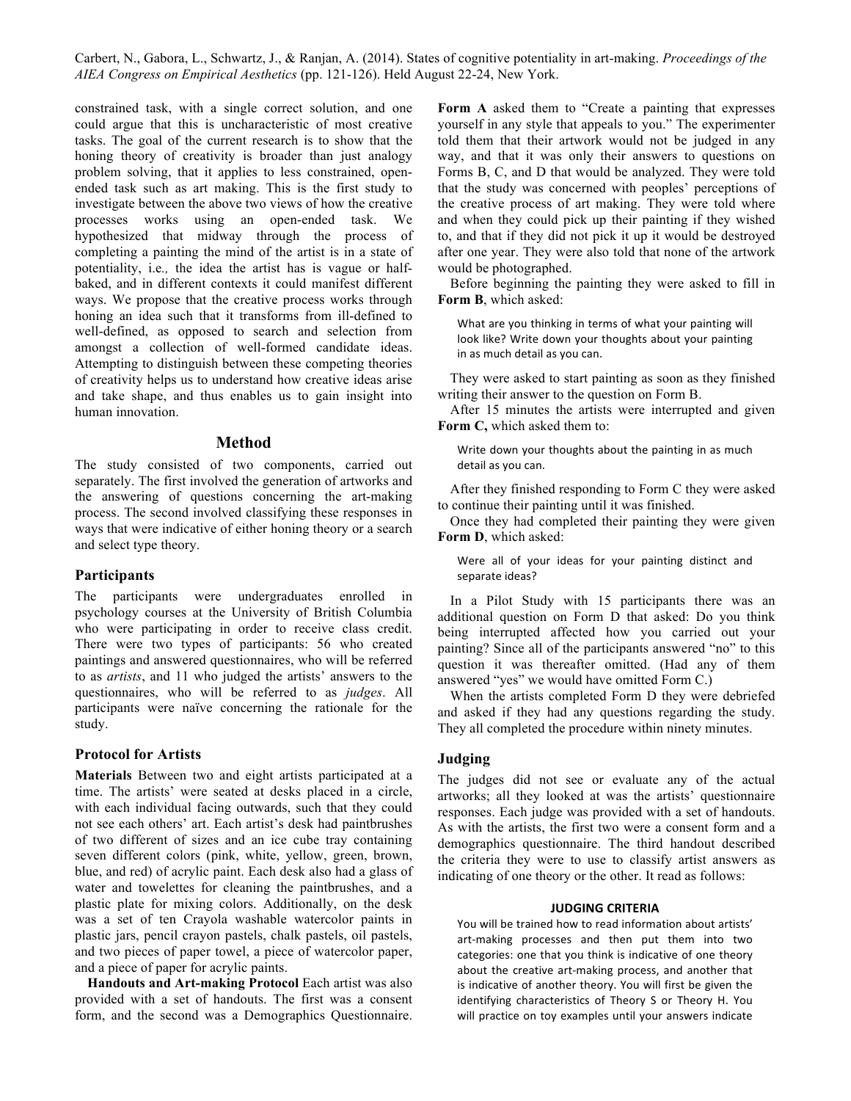constrained task, with a single correct solution, and one could argue that this is uncharacteristic of most creative tasks. The goal of the current research is to show that the honing theory of creativity is broader than just analogy problem solving, that it applies to less constrained, openended task such as art making. This is the first study to investigate between the above two views of how the creative processes works using an open-ended task. We hypothesized that midway through the process of completing a painting the mind of the artist is in a state of potentiality, i.e*.,* the idea the artist has is vague or halfbaked, and in different contexts it could manifest different ways. We propose that the creative process works through honing an idea such that it transforms from ill-defined to well-defined, as opposed to search and selection from amongst a collection of well-formed candidate ideas. Attempting to distinguish between these competing theories of creativity helps us to understand how creative ideas arise and take shape, and thus enables us to gain insight into human innovation.

# **Method**

The study consisted of two components, carried out separately. The first involved the generation of artworks and the answering of questions concerning the art-making process. The second involved classifying these responses in ways that were indicative of either honing theory or a search and select type theory.

# **Participants**

The participants were undergraduates enrolled in psychology courses at the University of British Columbia who were participating in order to receive class credit. There were two types of participants: 56 who created paintings and answered questionnaires, who will be referred to as *artists*, and 11 who judged the artists' answers to the questionnaires, who will be referred to as *judges*. All participants were naïve concerning the rationale for the study.

### **Protocol for Artists**

**Materials** Between two and eight artists participated at a time. The artists' were seated at desks placed in a circle, with each individual facing outwards, such that they could not see each others' art. Each artist's desk had paintbrushes of two different of sizes and an ice cube tray containing seven different colors (pink, white, yellow, green, brown, blue, and red) of acrylic paint. Each desk also had a glass of water and towelettes for cleaning the paintbrushes, and a plastic plate for mixing colors. Additionally, on the desk was a set of ten Crayola washable watercolor paints in plastic jars, pencil crayon pastels, chalk pastels, oil pastels, and two pieces of paper towel, a piece of watercolor paper, and a piece of paper for acrylic paints.

**Handouts and Art-making Protocol** Each artist was also provided with a set of handouts. The first was a consent form, and the second was a Demographics Questionnaire.

**Form A** asked them to "Create a painting that expresses yourself in any style that appeals to you." The experimenter told them that their artwork would not be judged in any way, and that it was only their answers to questions on Forms B, C, and D that would be analyzed. They were told that the study was concerned with peoples' perceptions of the creative process of art making. They were told where and when they could pick up their painting if they wished to, and that if they did not pick it up it would be destroyed after one year. They were also told that none of the artwork would be photographed.

Before beginning the painting they were asked to fill in **Form B**, which asked:

What are you thinking in terms of what your painting will look like? Write down your thoughts about your painting in as much detail as you can.

They were asked to start painting as soon as they finished writing their answer to the question on Form B.

After 15 minutes the artists were interrupted and given **Form C,** which asked them to:

Write down your thoughts about the painting in as much detail as you can.

After they finished responding to Form C they were asked to continue their painting until it was finished.

Once they had completed their painting they were given **Form D**, which asked:

Were all of your ideas for your painting distinct and separate ideas?

In a Pilot Study with 15 participants there was an additional question on Form D that asked: Do you think being interrupted affected how you carried out your painting? Since all of the participants answered "no" to this question it was thereafter omitted. (Had any of them answered "yes" we would have omitted Form C.)

When the artists completed Form D they were debriefed and asked if they had any questions regarding the study. They all completed the procedure within ninety minutes.

## **Judging**

The judges did not see or evaluate any of the actual artworks; all they looked at was the artists' questionnaire responses. Each judge was provided with a set of handouts. As with the artists, the first two were a consent form and a demographics questionnaire. The third handout described the criteria they were to use to classify artist answers as indicating of one theory or the other. It read as follows:

#### **JUDGING CRITERIA**

You will be trained how to read information about artists' art-making processes and then put them into two categories: one that you think is indicative of one theory about the creative art-making process, and another that is indicative of another theory. You will first be given the identifying characteristics of Theory S or Theory H. You will practice on toy examples until your answers indicate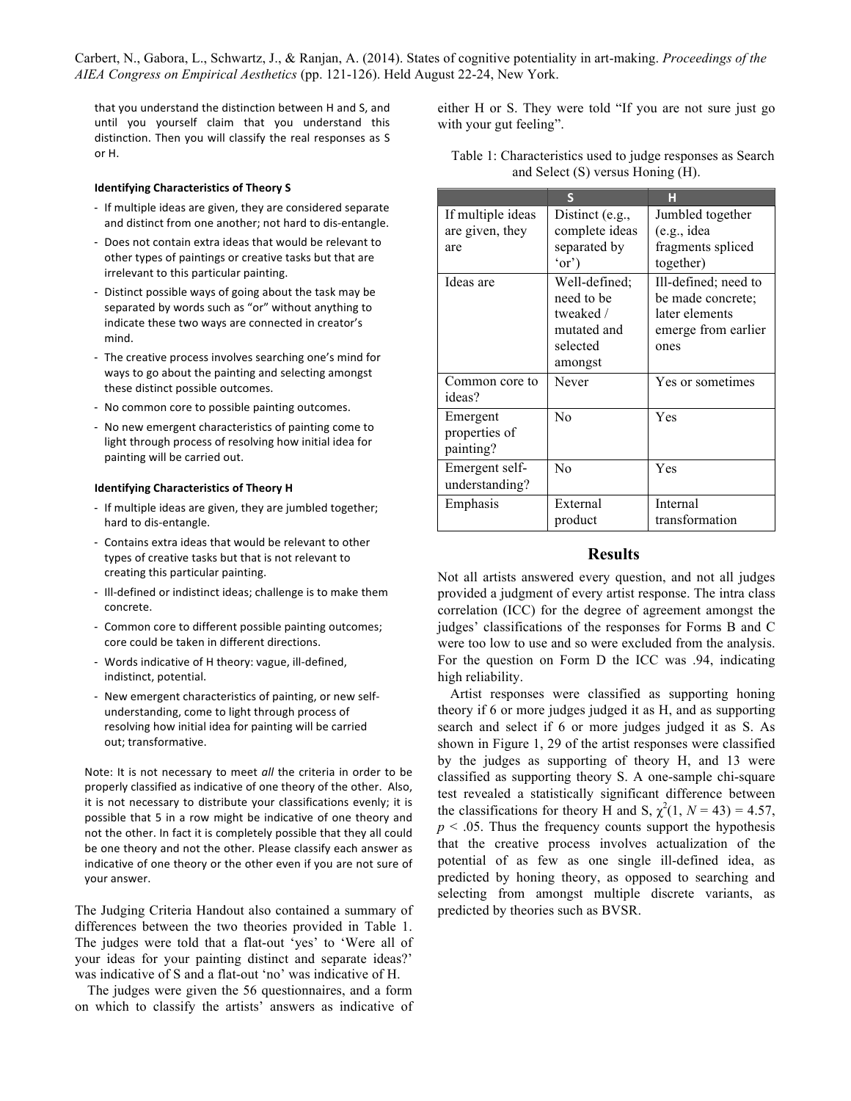that you understand the distinction between H and S, and until you yourself claim that you understand this distinction. Then you will classify the real responses as S or H. 

#### **Identifying Characteristics of Theory S**

- If multiple ideas are given, they are considered separate and distinct from one another; not hard to dis-entangle.
- Does not contain extra ideas that would be relevant to other types of paintings or creative tasks but that are irrelevant to this particular painting.
- Distinct possible ways of going about the task may be separated by words such as "or" without anything to indicate these two ways are connected in creator's mind.
- The creative process involves searching one's mind for ways to go about the painting and selecting amongst these distinct possible outcomes.
- No common core to possible painting outcomes.
- No new emergent characteristics of painting come to light through process of resolving how initial idea for painting will be carried out.

### **Identifying Characteristics of Theory H**

- If multiple ideas are given, they are jumbled together; hard to dis-entangle.
- Contains extra ideas that would be relevant to other types of creative tasks but that is not relevant to creating this particular painting.
- Ill-defined or indistinct ideas; challenge is to make them concrete.
- Common core to different possible painting outcomes; core could be taken in different directions.
- Words indicative of H theory: vague, ill-defined, indistinct, potential.
- New emergent characteristics of painting, or new selfunderstanding, come to light through process of resolving how initial idea for painting will be carried out; transformative.

Note: It is not necessary to meet all the criteria in order to be properly classified as indicative of one theory of the other. Also, it is not necessary to distribute your classifications evenly; it is possible that 5 in a row might be indicative of one theory and not the other. In fact it is completely possible that they all could be one theory and not the other. Please classify each answer as indicative of one theory or the other even if you are not sure of your answer.

The Judging Criteria Handout also contained a summary of differences between the two theories provided in Table 1. The judges were told that a flat-out 'yes' to 'Were all of your ideas for your painting distinct and separate ideas?' was indicative of S and a flat-out 'no' was indicative of H.

The judges were given the 56 questionnaires, and a form on which to classify the artists' answers as indicative of either H or S. They were told "If you are not sure just go with your gut feeling".

|                   |                 | н                    |
|-------------------|-----------------|----------------------|
| If multiple ideas | Distinct (e.g., | Jumbled together     |
| are given, they   | complete ideas  | (e.g., idea)         |
| are               | separated by    | fragments spliced    |
|                   | 'or'            | together)            |
| Ideas are         | Well-defined;   | Ill-defined; need to |
|                   | need to be      | be made concrete;    |
|                   | tweaked /       | later elements       |
|                   | mutated and     | emerge from earlier  |
|                   | selected        | ones                 |
|                   | amongst         |                      |
| Common core to    | Never           | Yes or sometimes     |
| ideas?            |                 |                      |
| Emergent          | No              | Yes                  |
| properties of     |                 |                      |
| painting?         |                 |                      |
| Emergent self-    | No              | Yes                  |
| understanding?    |                 |                      |
| Emphasis          | External        | Internal             |
|                   | product         | transformation       |

### Table 1: Characteristics used to judge responses as Search and Select (S) versus Honing (H).

### **Results**

Not all artists answered every question, and not all judges provided a judgment of every artist response. The intra class correlation (ICC) for the degree of agreement amongst the judges' classifications of the responses for Forms B and C were too low to use and so were excluded from the analysis. For the question on Form D the ICC was .94, indicating high reliability.

Artist responses were classified as supporting honing theory if 6 or more judges judged it as H, and as supporting search and select if 6 or more judges judged it as S. As shown in Figure 1, 29 of the artist responses were classified by the judges as supporting of theory H, and 13 were classified as supporting theory S. A one-sample chi-square test revealed a statistically significant difference between the classifications for theory H and S,  $\chi^2(1, N = 43) = 4.57$ ,  $p \leq 0.05$ . Thus the frequency counts support the hypothesis that the creative process involves actualization of the potential of as few as one single ill-defined idea, as predicted by honing theory, as opposed to searching and selecting from amongst multiple discrete variants, as predicted by theories such as BVSR.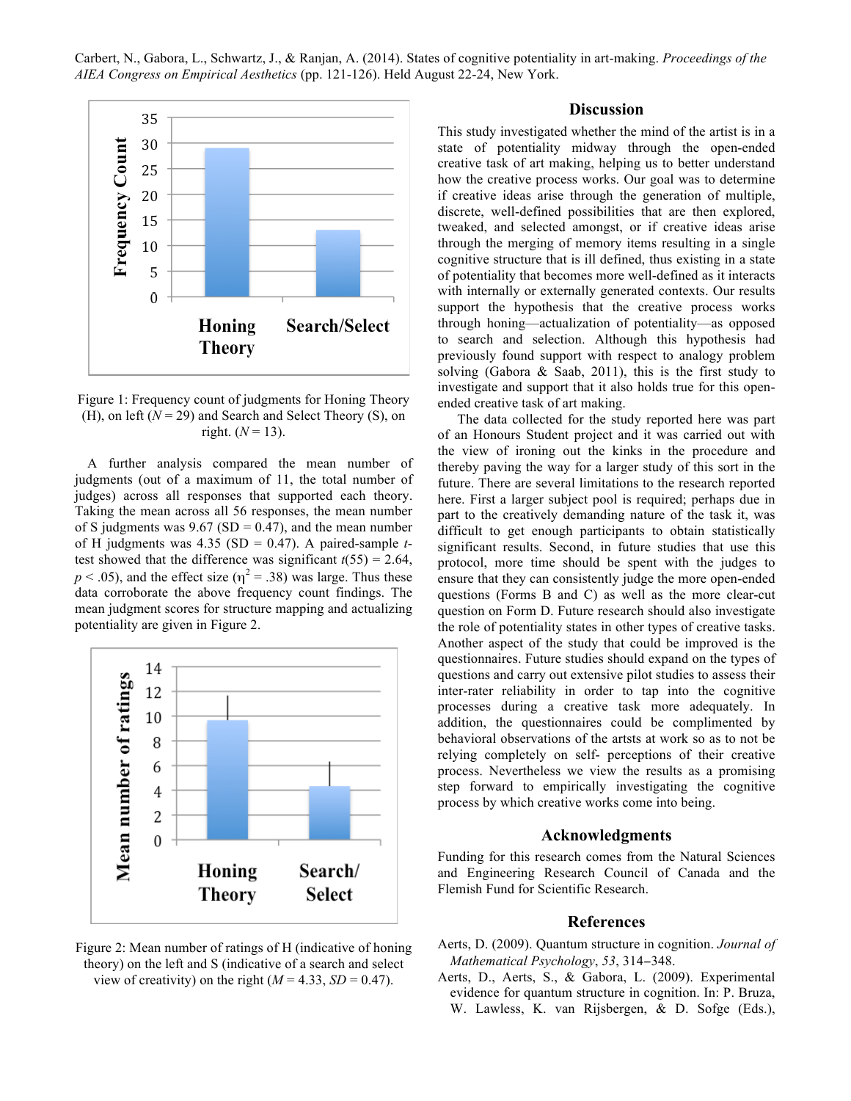

Figure 1: Frequency count of judgments for Honing Theory (H), on left  $(N = 29)$  and Search and Select Theory (S), on right.  $(N = 13)$ .

A further analysis compared the mean number of judgments (out of a maximum of 11, the total number of judges) across all responses that supported each theory. Taking the mean across all 56 responses, the mean number of S judgments was  $9.67$  (SD = 0.47), and the mean number of H judgments was 4.35 (SD = 0.47). A paired-sample *t*test showed that the difference was significant  $t(55) = 2.64$ ,  $p < .05$ ), and the effect size ( $\eta^2 = .38$ ) was large. Thus these data corroborate the above frequency count findings. The mean judgment scores for structure mapping and actualizing potentiality are given in Figure 2.



Figure 2: Mean number of ratings of H (indicative of honing theory) on the left and S (indicative of a search and select view of creativity) on the right  $(M = 4.33, SD = 0.47)$ .

### **Discussion**

This study investigated whether the mind of the artist is in a state of potentiality midway through the open-ended creative task of art making, helping us to better understand how the creative process works. Our goal was to determine if creative ideas arise through the generation of multiple, discrete, well-defined possibilities that are then explored, tweaked, and selected amongst, or if creative ideas arise through the merging of memory items resulting in a single cognitive structure that is ill defined, thus existing in a state of potentiality that becomes more well-defined as it interacts with internally or externally generated contexts. Our results support the hypothesis that the creative process works through honing—actualization of potentiality—as opposed to search and selection. Although this hypothesis had previously found support with respect to analogy problem solving (Gabora & Saab, 2011), this is the first study to investigate and support that it also holds true for this openended creative task of art making.

The data collected for the study reported here was part of an Honours Student project and it was carried out with the view of ironing out the kinks in the procedure and thereby paving the way for a larger study of this sort in the future. There are several limitations to the research reported here. First a larger subject pool is required; perhaps due in part to the creatively demanding nature of the task it, was difficult to get enough participants to obtain statistically significant results. Second, in future studies that use this protocol, more time should be spent with the judges to ensure that they can consistently judge the more open-ended questions (Forms B and C) as well as the more clear-cut question on Form D. Future research should also investigate the role of potentiality states in other types of creative tasks. Another aspect of the study that could be improved is the questionnaires. Future studies should expand on the types of questions and carry out extensive pilot studies to assess their inter-rater reliability in order to tap into the cognitive processes during a creative task more adequately. In addition, the questionnaires could be complimented by behavioral observations of the artsts at work so as to not be relying completely on self- perceptions of their creative process. Nevertheless we view the results as a promising step forward to empirically investigating the cognitive process by which creative works come into being.

# **Acknowledgments**

Funding for this research comes from the Natural Sciences and Engineering Research Council of Canada and the Flemish Fund for Scientific Research.

### **References**

- Aerts, D. (2009). Quantum structure in cognition. *Journal of Mathematical Psychology*, *53*, 314−348.
- Aerts, D., Aerts, S., & Gabora, L. (2009). Experimental evidence for quantum structure in cognition. In: P. Bruza, W. Lawless, K. van Rijsbergen, & D. Sofge (Eds.),